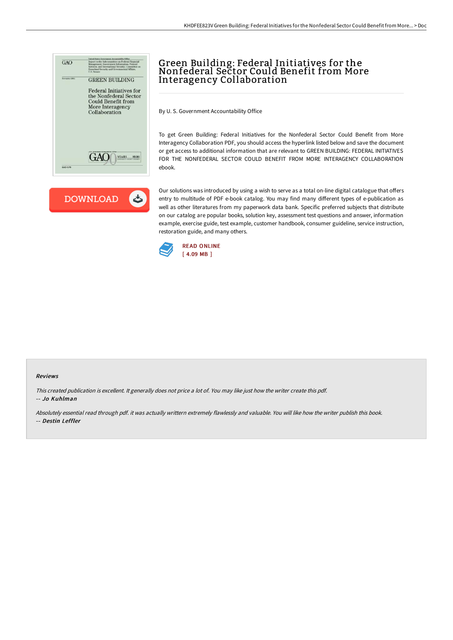



## Green Building: Federal Initiatives for the Nonfederal Sector Could Benefit from More Interagency Collaboration

By U. S. Government Accountability Office

To get Green Building: Federal Initiatives for the Nonfederal Sector Could Benefit from More Interagency Collaboration PDF, you should access the hyperlink listed below and save the document or get access to additional information that are relevant to GREEN BUILDING: FEDERAL INITIATIVES FOR THE NONFEDERAL SECTOR COULD BENEFIT FROM MORE INTERAGENCY COLLABORATION ebook.

Our solutions was introduced by using a wish to serve as a total on-line digital catalogue that offers entry to multitude of PDF e-book catalog. You may find many different types of e-publication as well as other literatures from my paperwork data bank. Specific preferred subjects that distribute on our catalog are popular books, solution key, assessment test questions and answer, information example, exercise guide, test example, customer handbook, consumer guideline, service instruction, restoration guide, and many others.



## Reviews

This created publication is excellent. It generally does not price <sup>a</sup> lot of. You may like just how the writer create this pdf. -- Jo Kuhlman

Absolutely essential read through pdf. it was actually writtern extremely flawlessly and valuable. You will like how the writer publish this book. -- Destin Leffler